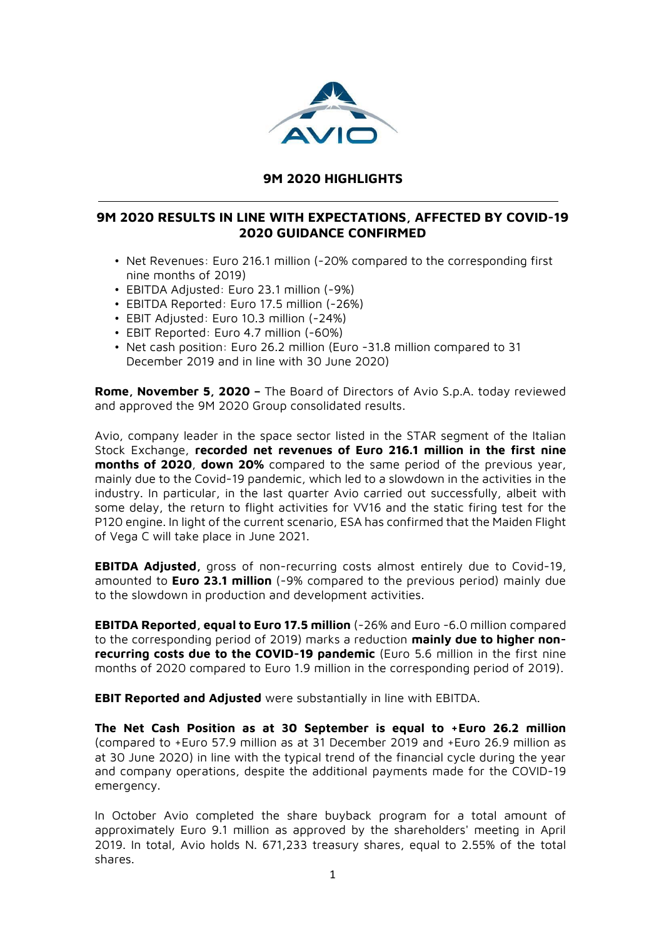

## **9M 2020 HIGHLIGHTS**

## **9M 2020 RESULTS IN LINE WITH EXPECTATIONS, AFFECTED BY COVID-19 2020 GUIDANCE CONFIRMED**

- Net Revenues: Euro 216.1 million (-20% compared to the corresponding first nine months of 2019)
- EBITDA Adjusted: Euro 23.1 million (-9%)
- EBITDA Reported: Euro 17.5 million (-26%)
- EBIT Adjusted: Euro 10.3 million (-24%)
- EBIT Reported: Euro 4.7 million (-60%)
- Net cash position: Euro 26.2 million (Euro -31.8 million compared to 31 December 2019 and in line with 30 June 2020)

**Rome, November 5, 2020 –** The Board of Directors of Avio S.p.A. today reviewed and approved the 9M 2020 Group consolidated results.

Avio, company leader in the space sector listed in the STAR segment of the Italian Stock Exchange, **recorded net revenues of Euro 216.1 million in the first nine months of 2020**, **down 20%** compared to the same period of the previous year, mainly due to the Covid-19 pandemic, which led to a slowdown in the activities in the industry. In particular, in the last quarter Avio carried out successfully, albeit with some delay, the return to flight activities for VV16 and the static firing test for the P120 engine. In light of the current scenario, ESA has confirmed that the Maiden Flight of Vega C will take place in June 2021.

**EBITDA Adjusted,** gross of non-recurring costs almost entirely due to Covid-19, amounted to **Euro 23.1 million** (-9% compared to the previous period) mainly due to the slowdown in production and development activities.

**EBITDA Reported, equal to Euro 17.5 million** (-26% and Euro -6.0 million compared to the corresponding period of 2019) marks a reduction **mainly due to higher nonrecurring costs due to the COVID-19 pandemic** (Euro 5.6 million in the first nine months of 2020 compared to Euro 1.9 million in the corresponding period of 2019).

**EBIT Reported and Adjusted** were substantially in line with EBITDA.

**The Net Cash Position as at 30 September is equal to +Euro 26.2 million**  (compared to +Euro 57.9 million as at 31 December 2019 and +Euro 26.9 million as at 30 June 2020) in line with the typical trend of the financial cycle during the year and company operations, despite the additional payments made for the COVID-19 emergency.

In October Avio completed the share buyback program for a total amount of approximately Euro 9.1 million as approved by the shareholders' meeting in April 2019. In total, Avio holds N. 671,233 treasury shares, equal to 2.55% of the total shares.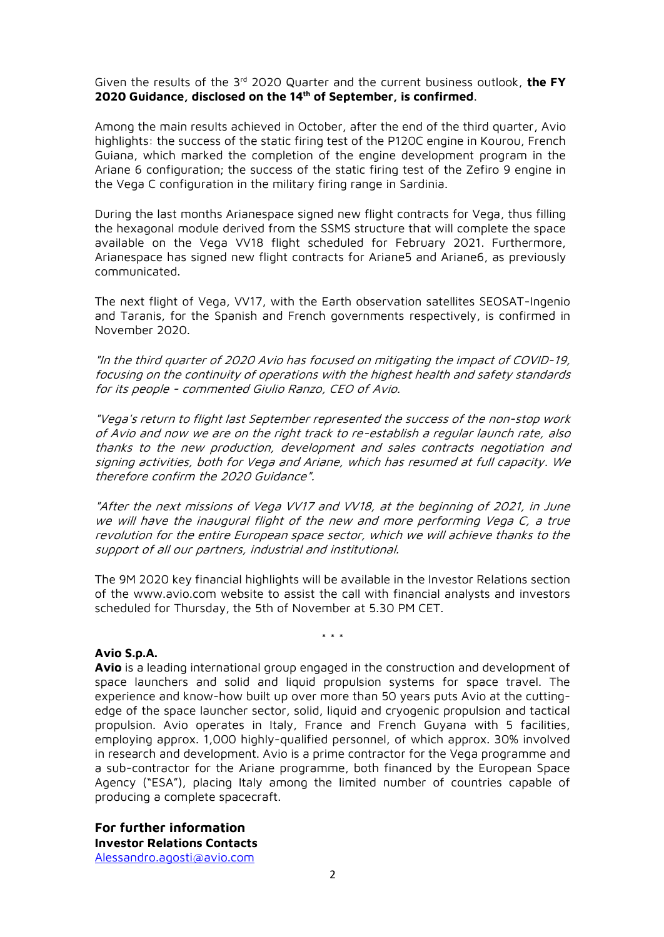Given the results of the 3rd 2020 Quarter and the current business outlook, **the FY 2020 Guidance, disclosed on the 14th of September, is confirmed**.

Among the main results achieved in October, after the end of the third quarter, Avio highlights: the success of the static firing test of the P120C engine in Kourou, French Guiana, which marked the completion of the engine development program in the Ariane 6 configuration; the success of the static firing test of the Zefiro 9 engine in the Vega C configuration in the military firing range in Sardinia.

During the last months Arianespace signed new flight contracts for Vega, thus filling the hexagonal module derived from the SSMS structure that will complete the space available on the Vega VV18 flight scheduled for February 2021. Furthermore, Arianespace has signed new flight contracts for Ariane5 and Ariane6, as previously communicated.

The next flight of Vega, VV17, with the Earth observation satellites SEOSAT-Ingenio and Taranis, for the Spanish and French governments respectively, is confirmed in November 2020.

"In the third quarter of 2020 Avio has focused on mitigating the impact of COVID-19, focusing on the continuity of operations with the highest health and safety standards for its people - commented Giulio Ranzo, CEO of Avio.

"Vega's return to flight last September represented the success of the non-stop work of Avio and now we are on the right track to re-establish a regular launch rate, also thanks to the new production, development and sales contracts negotiation and signing activities, both for Vega and Ariane, which has resumed at full capacity. We therefore confirm the 2020 Guidance".

"After the next missions of Vega VV17 and VV18, at the beginning of 2021, in June we will have the inaugural flight of the new and more performing Vega C, a true revolution for the entire European space sector, which we will achieve thanks to the support of all our partners, industrial and institutional.

The 9M 2020 key financial highlights will be available in the Investor Relations section of the www.avio.com website to assist the call with financial analysts and investors scheduled for Thursday, the 5th of November at 5.30 PM CET.

\* \* \*

## **Avio S.p.A.**

**Avio** is a leading international group engaged in the construction and development of space launchers and solid and liquid propulsion systems for space travel. The experience and know-how built up over more than 50 years puts Avio at the cuttingedge of the space launcher sector, solid, liquid and cryogenic propulsion and tactical propulsion. Avio operates in Italy, France and French Guyana with 5 facilities, employing approx. 1,000 highly-qualified personnel, of which approx. 30% involved in research and development. Avio is a prime contractor for the Vega programme and a sub-contractor for the Ariane programme, both financed by the European Space Agency ("ESA"), placing Italy among the limited number of countries capable of producing a complete spacecraft.

**For further information**

## **Investor Relations Contacts**

[Alessandro.agosti@avio.com](mailto:Alessandro.agosti@avio.com)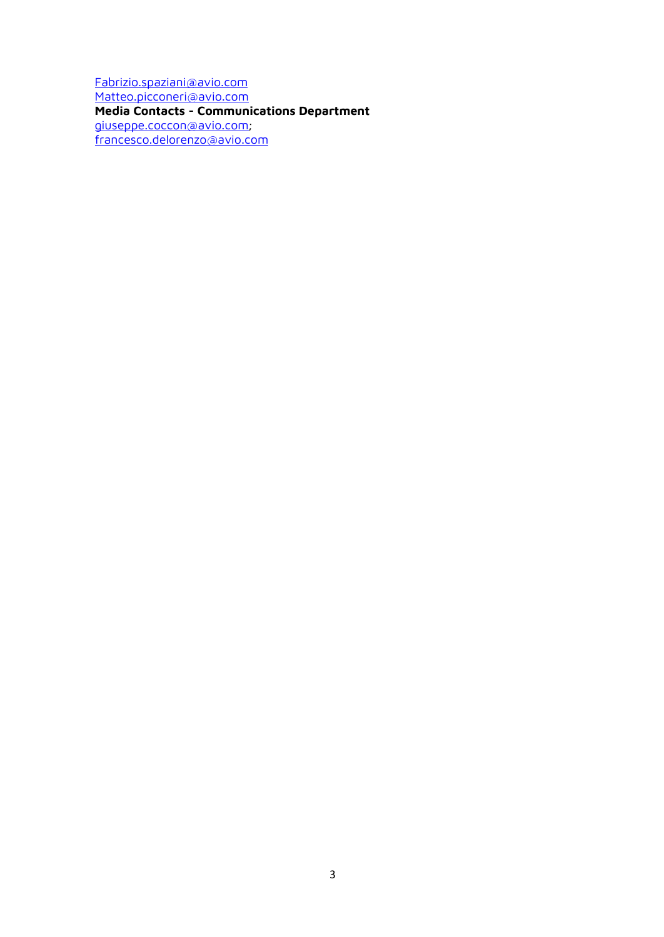[Fabrizio.spaziani@avio.com](mailto:Fabrizio.spaziani@avio.com) [Matteo.picconeri@avio.com](mailto:Matteo.picconeri@avio.com) **Media Contacts - Communications Department**  [giuseppe.coccon@avio.com;](mailto:giuseppe.coccon@avio.com) francesco.delorenzo@avio.com